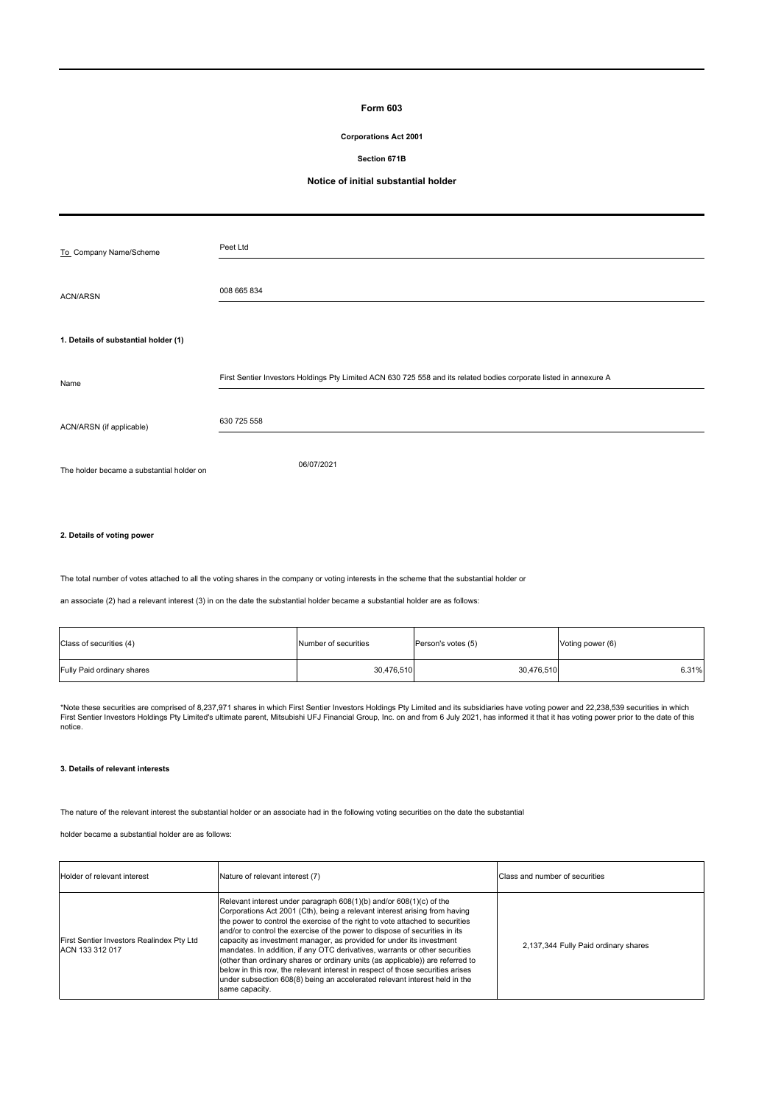# **Form 603**

## **Corporations Act 2001**

#### **Section 671B**

### **Notice of initial substantial holder**

| To_Company Name/Scheme                    | Peet Ltd                                                                                                           |
|-------------------------------------------|--------------------------------------------------------------------------------------------------------------------|
| <b>ACN/ARSN</b>                           | 008 665 834                                                                                                        |
| 1. Details of substantial holder (1)      |                                                                                                                    |
| Name                                      | First Sentier Investors Holdings Pty Limited ACN 630 725 558 and its related bodies corporate listed in annexure A |
| ACN/ARSN (if applicable)                  | 630 725 558                                                                                                        |
| The holder became a substantial holder on | 06/07/2021                                                                                                         |
|                                           |                                                                                                                    |

#### **2. Details of voting power**

The total number of votes attached to all the voting shares in the company or voting interests in the scheme that the substantial holder or

an associate (2) had a relevant interest (3) in on the date the substantial holder became a substantial holder are as follows:

| Class of securities (4)<br>Number of securities |            | Person's votes (5) | Voting power (6) |  |
|-------------------------------------------------|------------|--------------------|------------------|--|
| Fully Paid ordinary shares                      | 30,476,510 | 30,476,510         | 6.31%            |  |

\*Note these securities are comprised of 8,237,971 shares in which First Sentier Investors Holdings Pty Limited and its subsidiaries have voting power and 22,238,539 securities in which<br>First Sentier Investors Holdings Pty notice.

#### **3. Details of relevant interests**

The nature of the relevant interest the substantial holder or an associate had in the following voting securities on the date the substantial

holder became a substantial holder are as follows:

| Holder of relevant interest                                  | Nature of relevant interest (7)                                                                                                                                                                                                                                                                                                                                                                                                                                                                                                                                                                                                                                                                                                              | Class and number of securities       |
|--------------------------------------------------------------|----------------------------------------------------------------------------------------------------------------------------------------------------------------------------------------------------------------------------------------------------------------------------------------------------------------------------------------------------------------------------------------------------------------------------------------------------------------------------------------------------------------------------------------------------------------------------------------------------------------------------------------------------------------------------------------------------------------------------------------------|--------------------------------------|
| First Sentier Investors Realindex Pty Ltd<br>ACN 133 312 017 | Relevant interest under paragraph 608(1)(b) and/or 608(1)(c) of the<br>Corporations Act 2001 (Cth), being a relevant interest arising from having<br>the power to control the exercise of the right to vote attached to securities<br>and/or to control the exercise of the power to dispose of securities in its<br>capacity as investment manager, as provided for under its investment<br>mandates. In addition, if any OTC derivatives, warrants or other securities<br>(other than ordinary shares or ordinary units (as applicable)) are referred to<br>below in this row, the relevant interest in respect of those securities arises<br>under subsection 608(8) being an accelerated relevant interest held in the<br>same capacity. | 2.137.344 Fully Paid ordinary shares |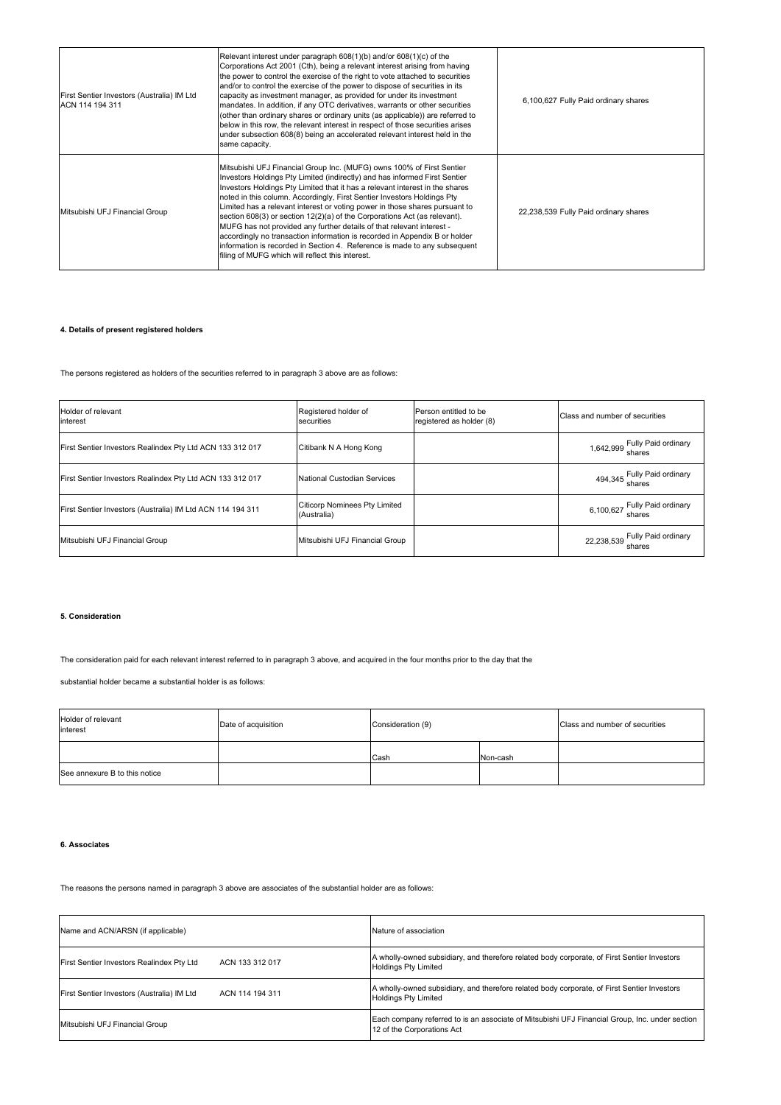| First Sentier Investors (Australia) IM Ltd<br>ACN 114 194 311 | Relevant interest under paragraph 608(1)(b) and/or 608(1)(c) of the<br>Corporations Act 2001 (Cth), being a relevant interest arising from having<br>the power to control the exercise of the right to vote attached to securities<br>and/or to control the exercise of the power to dispose of securities in its<br>capacity as investment manager, as provided for under its investment<br>mandates. In addition, if any OTC derivatives, warrants or other securities<br>(other than ordinary shares or ordinary units (as applicable)) are referred to<br>below in this row, the relevant interest in respect of those securities arises<br>under subsection 608(8) being an accelerated relevant interest held in the<br>same capacity.                       | 6.100.627 Fully Paid ordinary shares  |
|---------------------------------------------------------------|--------------------------------------------------------------------------------------------------------------------------------------------------------------------------------------------------------------------------------------------------------------------------------------------------------------------------------------------------------------------------------------------------------------------------------------------------------------------------------------------------------------------------------------------------------------------------------------------------------------------------------------------------------------------------------------------------------------------------------------------------------------------|---------------------------------------|
| Mitsubishi UFJ Financial Group                                | Mitsubishi UFJ Financial Group Inc. (MUFG) owns 100% of First Sentier<br>Investors Holdings Pty Limited (indirectly) and has informed First Sentier<br>Investors Holdings Pty Limited that it has a relevant interest in the shares<br>noted in this column. Accordingly, First Sentier Investors Holdings Pty<br>Limited has a relevant interest or voting power in those shares pursuant to<br>section 608(3) or section 12(2)(a) of the Corporations Act (as relevant).<br>MUFG has not provided any further details of that relevant interest -<br>accordingly no transaction information is recorded in Appendix B or holder<br>information is recorded in Section 4. Reference is made to any subsequent<br>filing of MUFG which will reflect this interest. | 22.238.539 Fully Paid ordinary shares |

## **4. Details of present registered holders**

The persons registered as holders of the securities referred to in paragraph 3 above are as follows:

| Holder of relevant<br>Registered holder of<br>Person entitled to be<br>registered as holder (8)<br>securities<br>interest |                                                     | Class and number of securities          |  |
|---------------------------------------------------------------------------------------------------------------------------|-----------------------------------------------------|-----------------------------------------|--|
| First Sentier Investors Realindex Pty Ltd ACN 133 312 017                                                                 | Citibank N A Hong Kong                              | 1,642,999 Fully Paid ordinary<br>shares |  |
| First Sentier Investors Realindex Pty Ltd ACN 133 312 017                                                                 | National Custodian Services                         | 494,345 Fully Paid ordinary<br>shares   |  |
| First Sentier Investors (Australia) IM Ltd ACN 114 194 311                                                                | <b>Citicorp Nominees Pty Limited</b><br>(Australia) | 6,100,627 Fully Paid ordinary           |  |
| Mitsubishi UFJ Financial Group                                                                                            | Mitsubishi UFJ Financial Group                      | 22,238,539 Fully Paid ordinary          |  |

## **5. Consideration**

The consideration paid for each relevant interest referred to in paragraph 3 above, and acquired in the four months prior to the day that the

substantial holder became a substantial holder is as follows:

| Holder of relevant<br>interest | Date of acquisition | Consideration (9) |          | Class and number of securities |
|--------------------------------|---------------------|-------------------|----------|--------------------------------|
|                                |                     | Cash              | Non-cash |                                |
| See annexure B to this notice  |                     |                   |          |                                |

### **6. Associates**

The reasons the persons named in paragraph 3 above are associates of the substantial holder are as follows:

| Name and ACN/ARSN (if applicable)          | Nature of association                                                                                                        |  |  |
|--------------------------------------------|------------------------------------------------------------------------------------------------------------------------------|--|--|
| First Sentier Investors Realindex Pty Ltd  | A wholly-owned subsidiary, and therefore related body corporate, of First Sentier Investors                                  |  |  |
| ACN 133 312 017                            | <b>Holdings Pty Limited</b>                                                                                                  |  |  |
| First Sentier Investors (Australia) IM Ltd | A wholly-owned subsidiary, and therefore related body corporate, of First Sentier Investors                                  |  |  |
| ACN 114 194 311                            | <b>Holdings Pty Limited</b>                                                                                                  |  |  |
| Mitsubishi UFJ Financial Group             | Each company referred to is an associate of Mitsubishi UFJ Financial Group, Inc. under section<br>12 of the Corporations Act |  |  |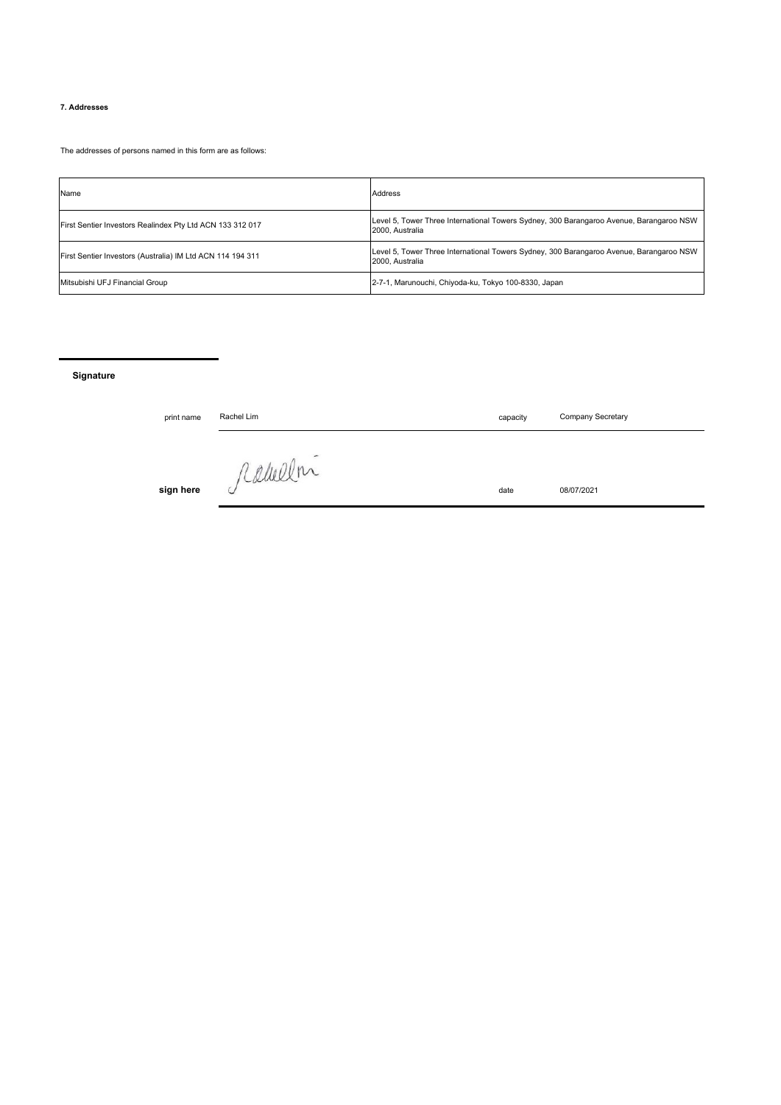## **7. Addresses**

The addresses of persons named in this form are as follows:

| Name                                                       | <b>Address</b>                                                                                             |
|------------------------------------------------------------|------------------------------------------------------------------------------------------------------------|
| First Sentier Investors Realindex Pty Ltd ACN 133 312 017  | Level 5, Tower Three International Towers Sydney, 300 Barangaroo Avenue, Barangaroo NSW<br>2000, Australia |
| First Sentier Investors (Australia) IM Ltd ACN 114 194 311 | Level 5, Tower Three International Towers Sydney, 300 Barangaroo Avenue, Barangaroo NSW<br>2000. Australia |
| Mitsubishi UFJ Financial Group                             | 2-7-1, Marunouchi, Chiyoda-ku, Tokyo 100-8330, Japan                                                       |

**Signature**

| print name | Rachel Lim | capacity | Company Secretary |
|------------|------------|----------|-------------------|
|            |            |          |                   |
|            | / Camer.   |          |                   |
| sign here  | ◡          | date     | 08/07/2021        |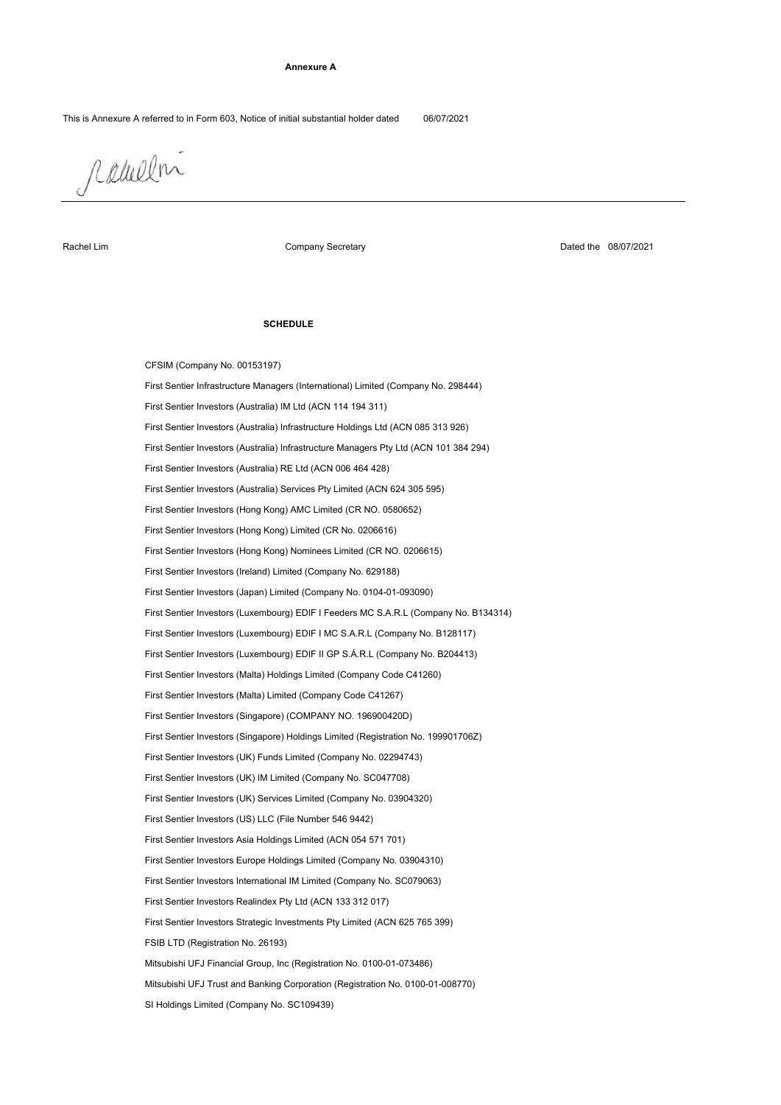#### **Annexure A**

This is Annexure A referred to in Form 603, Notice of initial substantial holder dated 06/07/2021

rabelm

Rachel Lim

Company Secretary

Dated the 08/07/2021

### **SCHEDULE**

First Sentier Investors (Australia) Infrastructure Managers Pty Ltd (ACN 101 384 294) CFSIM (Company No. 00153197) First Sentier Investors (Australia) IM Ltd (ACN 114 194 311) First Sentier Investors (UK) IM Limited (Company No. SC047708) First Sentier Investors (Luxembourg) EDIF II GP S.Á.R.L (Company No. B204413) First Sentier Investors (Malta) Limited (Company Code C41267) First Sentier Investors (Singapore) Holdings Limited (Registration No. 199901706Z) First Sentier Infrastructure Managers (International) Limited (Company No. 298444) First Sentier Investors (Australia) RE Ltd (ACN 006 464 428) First Sentier Investors (Australia) Infrastructure Holdings Ltd (ACN 085 313 926) First Sentier Investors (UK) Funds Limited (Company No. 02294743) First Sentier Investors (Malta) Holdings Limited (Company Code C41260) SI Holdings Limited (Company No. SC109439) First Sentier Investors (Hong Kong) Limited (CR No. 0206616) First Sentier Investors (Australia) Services Pty Limited (ACN 624 305 595) First Sentier Investors (Ireland) Limited (Company No. 629188) First Sentier Investors (Luxembourg) EDIF I Feeders MC S.A.R.L (Company No. B134314) First Sentier Investors Realindex Pty Ltd (ACN 133 312 017) FSIB LTD (Registration No. 26193) First Sentier Investors Europe Holdings Limited (Company No. 03904310) First Sentier Investors (US) LLC (File Number 546 9442) Mitsubishi UFJ Trust and Banking Corporation (Registration No. 0100-01-008770) First Sentier Investors (Hong Kong) Nominees Limited (CR NO. 0206615) First Sentier Investors (Hong Kong) AMC Limited (CR NO. 0580652) First Sentier Investors (Japan) Limited (Company No. 0104-01-093090) First Sentier Investors (Luxembourg) EDIF I MC S.A.R.L (Company No. B128117) First Sentier Investors (UK) Services Limited (Company No. 03904320) Mitsubishi UFJ Financial Group, Inc (Registration No. 0100-01-073486) First Sentier Investors (Singapore) (COMPANY NO. 196900420D) First Sentier Investors Strategic Investments Pty Limited (ACN 625 765 399) First Sentier Investors International IM Limited (Company No. SC079063) First Sentier Investors Asia Holdings Limited (ACN 054 571 701)